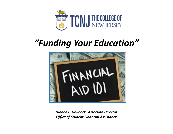

# *"Funding Your Education"*



*Dionne L. Hallback, Associate Director Office of Student Financial Assistance*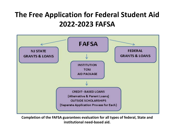### **The Free Application for Federal Student Aid 2022‐2023 FAFSA**



**Completion of the FAFSA guarantees evaluation for all types of federal, State and institutional need‐based aid.**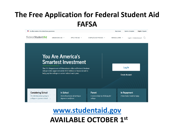## **The Free Application for Federal Student Aid FAFSA**



### **www.studentaid.gov AVAILABLE OCTOBER 1st**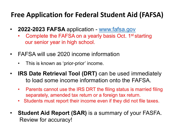### **Free Application for Federal Student Aid (FAFSA)**

- $\bullet$  **2022-2023 FAFSA** application - www.fafsa.gov
	- •Complete the FAFSA on a yearly basis Oct. 1<sup>st</sup> starting our senior year in high school.
- $\bullet$  FAFSA will use 2020 income information
	- •This is known as 'prior-prior' income.
- $\bullet$  **IRS Date Retrieval Tool (DRT)** can be used immediately to load some income information onto the FAFSA.
	- • Parents cannot use the IRS DRT the filing status is married filing separately, amended tax return or a foreign tax return.
	- Students must report their income even if they did not file taxes.
- • **Student Aid Report (SAR)** is a summary of your FASFA. Review for accuracy!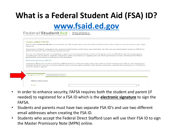# **What is a Federal Student Aid (FSA) ID?**

### **www.fsaid.ed.gov**

|                               | Create a New FSA ID                                                                                                                                                                                                                                                                                                                                |
|-------------------------------|----------------------------------------------------------------------------------------------------------------------------------------------------------------------------------------------------------------------------------------------------------------------------------------------------------------------------------------------------|
| signature.                    | New to FSA? Create an FSA ID account below. An FSA ID gives you access to Federal Student Aid's online systems and can serve as your legal                                                                                                                                                                                                         |
|                               | Only create an FSA ID using your own personal information and for your own exclusive use. You are not authorized to create an FSA ID on<br>behalf of someone else, including a family member.                                                                                                                                                      |
|                               | You are not allowed to have an employee or agent of a commercial entity, or other third party, create an FSA ID for you for any purposes<br>including but not limited to: payment reductions, debt consolidation or applying for aid. Misrepresentation of your identity to the federal<br>government could result in criminal or civil penalties. |
| Need help creating an FSA ID? |                                                                                                                                                                                                                                                                                                                                                    |
| until the session expires.    | Important: When you are done click the CANCEL button to clear your data, even if you did not finish creating your FSA ID. [ust closing your<br>browser window or going to another website may not be enough to prevent other people using this computer from seeing your information                                                               |
|                               |                                                                                                                                                                                                                                                                                                                                                    |
|                               |                                                                                                                                                                                                                                                                                                                                                    |

- $\bullet$  In order to enhance security, FAFSA requires both the student and parent (if needed) to registered for a FSA ID which is the **electronic signature** to sign the FAFSA.
- • Students and parents must have two separate FSA ID's and use two different email addresses when creating the FSA ID.
- • Students who accept the Federal Direct Stafford Loan will use their FSA ID to sign the Master Promissory Note (MPN) online.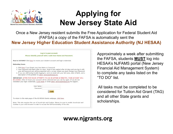

## **Applying for New Jersey State Aid**

Once a New Jersey resident submits the Free Application for Federal Student Aid (FAFSA) a copy of the FAFSA is automatically sent the **New Jersey Higher Education Student Assistance Authority (NJ HESAA)** 

Log in to your account. Please identify yourself with a valid User Name and Password. New to NJFAMS? Click here to create your student account and login credentials. **Returning Users** 1. Click here if you forgot your User Name or Password. 2. Your Password will expire after 60 days. When it has expired after 60 days and you log in with your old Password you will be presented with a screen where you must change your Password. 3. If you are still having trouble logging in, send an email with your full name, date of birth, and a description of the problem to client services@hesaa.org. IMPORTANT: AFTER FIVE FAILED ATTEMPTS TO LOG IN WITHIN 60 MINUTES, YOUR ACCOUNT WILL BE LOCKED. After 24 hours your account will be unlocked and you can try again. If you do not remember your login credentials, CLICK HERE or email client services@hesaa.org for support. Liser Name: Password: Login To return to the main page of the NJ HESAA Grants webpage, click here.

Note: This site requires the use of JavaScript and Cookies. Please be sure to enable JavaScript and Cookies in your web browser in order to access the full functionality of the site.

Approximately a week after submitting the FAFSA, students **MUST** log into HESAA's NJFAMS portal (New Jersey Financial Aid Management System) to complete any tasks listed on the "TO DO" list.

All tasks must be completed to be considered for Tuition Aid Grant (TAG) and all other State grants and scholarships.

### **www.njgrants.org**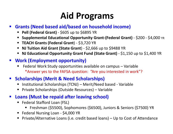# **Aid Programs**

#### $\mathbf{r}$ **Grants (Need based aid/based on household income)**

- **Pell (Federal Grant)** \$605 up to \$6895 YR
- Supplemental Educational Opportunity Grant-(Federal Grant) \$200 \$4,000 YR
- TEACH Grants (Federal Grant) \$3,720 YR
- **NJ Tuition Aid Grant (State Grant**) \$2,666 up to \$9488 YR
- **NJ Educational Opportunity Grant Fund (State Grant)** \$1,150 up to \$1,400 YR

#### **Work (Employment opportunity)**

П Federal Work Study opportunities available on campus – Variable \*Answer yes to the FAFSA question: "Are you interested in work"?

#### $\mathbf{r}$ **Scholarships (Merit & Need Scholarships)**

- Institutional Scholarships (TCNJ) Merit/Need based Variable
- Private Scholarships (Outside Resources) Variable

#### **The Second State Loans (Must be repaid after leaving school)**

- Federal Stafford Loan (FSL)
	- ш Freshman (\$5500), Sophomores (\$6500), Juniors & Seniors (\$7500) YR
- Federal Nursing Loan \$4,000 YR
- Private/Alternative Loans (i.e. credit based loans) Up to Cost of Attendance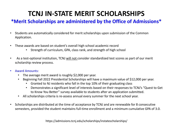### **TCNJ IN‐STATE MERIT SCHOLARSHIPS**

#### **\*Merit Scholarships are administered by the Office of Admissions\***

- • Students are automatically considered for merit scholarships upon submission of the Common Application.
- • These awards are based on student's overall high school academic record
	- Strength of curriculum, GPA, class rank, and strength of high school
- • As a test‐optional institution, TCNJ will not consider standardized test scores as part of our merit scholarship review process.
- • Award Amounts:
	- •The average merit award is roughly \$2,000 per year.
	- • Beginning Fall 2022 Presidential Scholarships will have a maximum value of \$12,000 per year.
		- Granted to NJ residents who fall in the top 10% of their graduating class
		- Demonstrates a significant level of interests based on their responses to TCNJ's "Quest to Get to Know You Better" survey available to students after an application submitted.
	- $\bullet$ All scholarships criteria is re‐assess annual every summer for the next school year.
- • Scholarships are distributed at the time of acceptance by TCNJ and are renewable for 8 consecutive semesters, provided the student maintains full-time enrollment and a minimum cumulative GPA of 3.0.

https://admissions.tcnj.edu/scholarships/instatescholarships/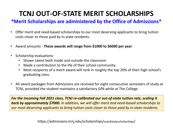## **TCNJ OUT‐OF‐STATE MERIT SCHOLARSHIPS**

#### **\*Merit Scholarships are administered by the Office of Admissions\***

- $\bullet$  Offer merit and need‐based scholarships to our most deserving applicants to bring tuition costs closer to those paid by in‐state residents.
- $\bullet$ Award amounts ‐ **These awards will range from \$1000 to \$6000 per year**.
- $\bullet$  Scholarship evaluations:
	- Shown talent both inside and outside the classroom
	- Made a contribution to the life of their school community.
	- $\bullet$  Most recipients of a merit award will rank in roughly the top 20% of their high school's graduating class.
- $\bullet$  All award packages from Admissions are received for eight consecutive semesters of study at TCNJ, provided the student maintains a satisfactory GPA while at The College.

*For the incoming Fall 2021 class, TCNJ re‐calibrated our out‐of‐state tuition rate, scaling it back by approximately \$7000. In addition, we will offer merit and need‐based scholarships to our most deserving applicants to bring tuition costs closer to those paid by in‐state residents.*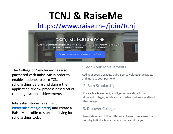# **TCNJ & RaiseMe**

### https://www.raise.me/join/tcnj



The College of New Jersey has also partnered with **Raise Me** in order to enable students to earn TCNJ scholarships before and during the application review process based off of their high school achievements.

Interested students can visit**www.raise.me/join/tcnj** and create a Raise Me profile to start qualifying for scholarships today!

#### 1. Add Your Achievements

Add your course grades, clubs, sports, volunteer activities, and more to your portfolio.

#### 2. Earn Scholarships

For each achievement, you'll get scholarships from different colleges, which you can redeem when you attend that college.

#### 3. Discover Colleges

Learn about and follow different colleges from across the country to find schools that are the best fit for you.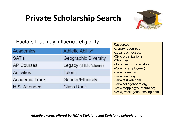## **Private Scholarship Search**



### Factors that may influence eligibility:

| Academics         | Athletic Ability*        | <b>.Library resources</b><br><b>.Local businesses,</b>                               |
|-------------------|--------------------------|--------------------------------------------------------------------------------------|
| SAT's             | Geographic Diversity     | <b>•Civic organizations</b><br>•Churches                                             |
| <b>AP Courses</b> | Legacy (child of alumni) | <b>.Sororities &amp; Fraternities</b><br>•Parent's employer(s)                       |
| Activities        | Talent                   | •www.hesaa.org                                                                       |
| Academic Track    | Gender/Ethnicity         | •www.finaid.org<br>•www.fastweb.com                                                  |
| H.S. Attended     | <b>Class Rank</b>        | •www.collegeboard.org<br>•www.mappingyourfuture.org<br>•www.jlvcollegecounseling.com |

*Athletic awards offered by NCAA Division I and Division II schools only.*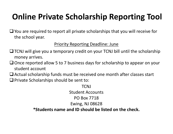## **Online Private Scholarship Reporting Tool**

□ You are required to report all private scholarships that you will receive for the school year.

#### Priority Reporting Deadline: June

- $\Box$  TCNJ will give you a temporary credit on your TCNJ bill until the scholarship money arrives.
- $\Box$  Once reported allow 5 to 7 business days for scholarship to appear on your student account
- $\Box$  Actual scholarship funds must be received one month after classes start
- $\Box$  Private Scholarships should be sent to:

**TCNJ** Student AccountsPO Box 7718Ewing, NJ 08628 **\*Students name and ID should be listed on the check.**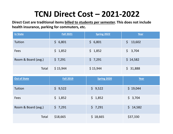## **TCNJ Direct Cost – 2021‐2022**

**Direct Cost are traditional items billed to students per semester. This does not include health insurance, parking for commuters, etc.** 

| <b>In State</b>     | <b>Fall 2021</b> | <b>Spring 2022</b> | Year         |
|---------------------|------------------|--------------------|--------------|
| Tuition             | \$6,801          | \$6,801            | \$<br>13,602 |
| Fees                | \$1,852          | \$1,852            | \$3,704      |
| Room & Board (avg.) | \$7,291          | \$7,291            | \$14,582     |
| Total               | \$15,944         | \$15,944           | \$31,888     |
| <b>Out of State</b> | <b>Fall 2019</b> | <b>Spring 2020</b> | Year         |
| Tuition             | \$9,522          | \$9,522            |              |
|                     |                  |                    | \$19,044     |
| Fees                | \$1,852          | \$1,852            | \$3,704      |
| Room & Board (avg.) | \$7,291          | \$7,291            | \$14,582     |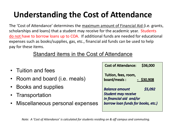## **Understanding the Cost of Attendance**

The 'Cost of Attendance' determines the maximum amount of Financial Aid (i.e. grants, scholarships and loans) that a student may receive for the academic year. Students do not have to borrow loans up to COA. If additional funds are needed for educational expenses such as books/supplies, gas, etc., financial aid funds can be used to help pay for these items.

#### Standard items in the Cost of Attendance

|                                   | Cost of Attendance: \$36,000                               |
|-----------------------------------|------------------------------------------------------------|
| • Tuition and fees                |                                                            |
| • Room and board (i.e. meals)     | Tuition, fees, room,<br>board/meals: $\frac{-\$30,908}{-}$ |
| • Books and supplies              | \$5,092<br><b>Balance amount</b>                           |
| • Transportation                  | <b>Student may receive</b><br>In financial aid and/or      |
| • Miscellaneous personal expenses | borrow loan funds for books, etc.)                         |
|                                   |                                                            |

*Note: A 'Cost of Attendance' is calculated for students residing on & off campus and commuting.*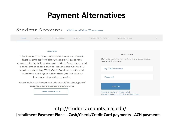## **Payment Alternatives**

#### Student Accounts Office of the Treasurer

| HOME | $BILLING$ $\sim$ | <b>TUITION &amp; FEES</b> | <b>REFUNDS</b> | RESOURCES & FORMS Y | AUXILIARY ACCESS |  |
|------|------------------|---------------------------|----------------|---------------------|------------------|--|
|      |                  |                           |                |                     |                  |  |

#### WELCOME

The Office of Student Accounts serves students, faculty and staff of The College of New Jersey community by billing student tuition, fees, room and board, processing refunds, issuing the College ID card, establishing TCNJ GetIt Card accounts, and providing parking services through the sale or issuance of parking permits.

Please review our instructional videos and slideshows geared towards incoming students and parents.

**VIEW TUTORIALS** 

|                      | <b>PAWS LOGIN</b>                                   |
|----------------------|-----------------------------------------------------|
| account information. | Sign In to update personal info and process student |
| myTCNJ Username      |                                                     |
| Password             |                                                     |
| <b>SIGN IN</b>       |                                                     |

http://studentaccounts.tcnj.edu/ **Installment Payment Plans – Cash/Check/Credit Card payments ‐ ACH payments**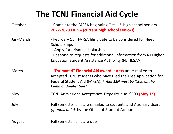## **The TCNJ Financial Aid Cycle**

| October   | - Complete the FAFSA beginning Oct. $1st$ high school seniors<br>2022-2023 FAFSA (current high school seniors)                                                                                                                                              |
|-----------|-------------------------------------------------------------------------------------------------------------------------------------------------------------------------------------------------------------------------------------------------------------|
| Jan-March | - February 15 <sup>th</sup> FAFSA filing date to be considered for Need<br>Scholarships<br>- Apply for private scholarships.<br>- Respond to requests for additional information from NJ Higher<br><b>Education Student Assistance Authority (NJ HESAA)</b> |
| March     | - "Estimated" Financial Aid award letters are e-mailed to<br>accepted TCNJ students who have filed the Free Application for<br>Federal Student Aid (FAFSA). * Your SSN must be listed on the<br><b>Common Application*</b>                                  |
| May       | TCNJ Admissions Acceptance Deposits due \$600 (May 1 <sup>st</sup> )                                                                                                                                                                                        |
| July      | Fall semester bills are emailed to students and Auxiliary Users<br><i>(if applicable)</i> by the Office of Student Accounts                                                                                                                                 |
| August    | Fall semester bills are due                                                                                                                                                                                                                                 |